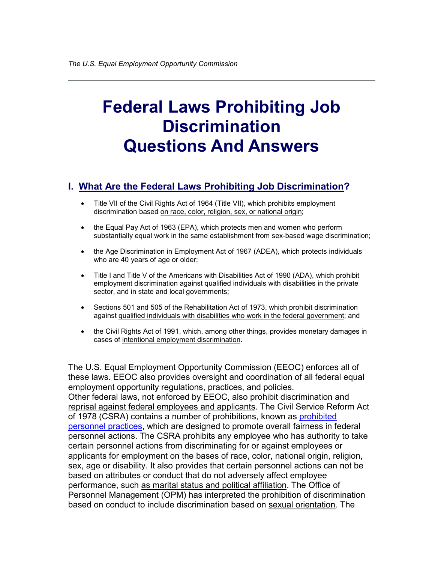# **Federal Laws Prohibiting Job Discrimination Questions And Answers**

# **I. What Are the Federal Laws Prohibiting Job Discrimination?**

- Title VII of the Civil Rights Act of 1964 (Title VII), which prohibits employment discrimination based on race, color, religion, sex, or national origin;
- the Equal Pay Act of 1963 (EPA), which protects men and women who perform substantially equal work in the same establishment from sex-based wage discrimination;
- the Age Discrimination in Employment Act of 1967 (ADEA), which protects individuals who are 40 years of age or older;
- Title I and Title V of the Americans with Disabilities Act of 1990 (ADA), which prohibit employment discrimination against qualified individuals with disabilities in the private sector, and in state and local governments;
- Sections 501 and 505 of the Rehabilitation Act of 1973, which prohibit discrimination against qualified individuals with disabilities who work in the federal government; and
- the Civil Rights Act of 1991, which, among other things, provides monetary damages in cases of intentional employment discrimination.

The U.S. Equal Employment Opportunity Commission (EEOC) enforces all of these laws. EEOC also provides oversight and coordination of all federal equal employment opportunity regulations, practices, and policies. Other federal laws, not enforced by EEOC, also prohibit discrimination and reprisal against federal employees and applicants. The Civil Service Reform Act of 1978 (CSRA) contains a number of prohibitions, known as prohibited personnel practices, which are designed to promote overall fairness in federal personnel actions. The CSRA prohibits any employee who has authority to take certain personnel actions from discriminating for or against employees or applicants for employment on the bases of race, color, national origin, religion, sex, age or disability. It also provides that certain personnel actions can not be based on attributes or conduct that do not adversely affect employee performance, such as marital status and political affiliation. The Office of Personnel Management (OPM) has interpreted the prohibition of discrimination based on conduct to include discrimination based on sexual orientation. The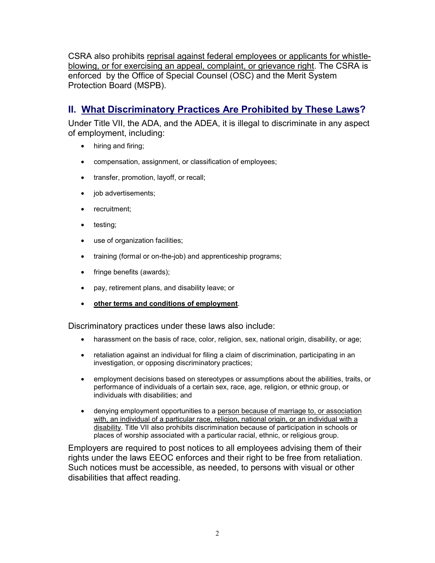CSRA also prohibits reprisal against federal employees or applicants for whistleblowing, or for exercising an appeal, complaint, or grievance right. The CSRA is enforced by the Office of Special Counsel (OSC) and the Merit System Protection Board (MSPB).

# **II. What Discriminatory Practices Are Prohibited by These Laws?**

Under Title VII, the ADA, and the ADEA, it is illegal to discriminate in any aspect of employment, including:

- hiring and firing;
- compensation, assignment, or classification of employees;
- transfer, promotion, layoff, or recall;
- job advertisements;
- recruitment;
- testing;
- use of organization facilities;
- training (formal or on-the-job) and apprenticeship programs;
- fringe benefits (awards);
- pay, retirement plans, and disability leave; or
- **other terms and conditions of employment**.

Discriminatory practices under these laws also include:

- harassment on the basis of race, color, religion, sex, national origin, disability, or age;
- retaliation against an individual for filing a claim of discrimination, participating in an investigation, or opposing discriminatory practices;
- employment decisions based on stereotypes or assumptions about the abilities, traits, or performance of individuals of a certain sex, race, age, religion, or ethnic group, or individuals with disabilities; and
- denying employment opportunities to a person because of marriage to, or association with, an individual of a particular race, religion, national origin, or an individual with a disability. Title VII also prohibits discrimination because of participation in schools or places of worship associated with a particular racial, ethnic, or religious group.

Employers are required to post notices to all employees advising them of their rights under the laws EEOC enforces and their right to be free from retaliation. Such notices must be accessible, as needed, to persons with visual or other disabilities that affect reading.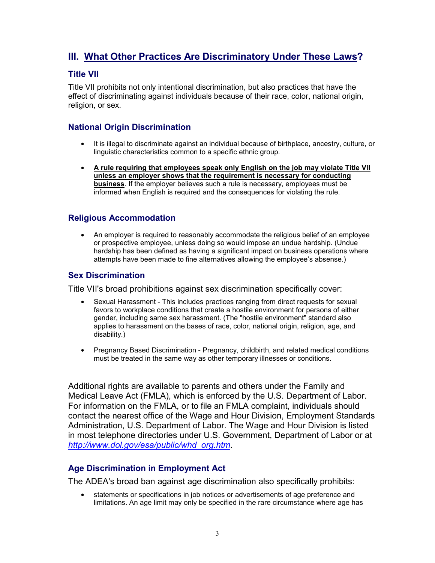# **III. What Other Practices Are Discriminatory Under These Laws?**

## **Title VII**

Title VII prohibits not only intentional discrimination, but also practices that have the effect of discriminating against individuals because of their race, color, national origin, religion, or sex.

## **National Origin Discrimination**

- It is illegal to discriminate against an individual because of birthplace, ancestry, culture, or linguistic characteristics common to a specific ethnic group.
- **A rule requiring that employees speak only English on the job may violate Title VII unless an employer shows that the requirement is necessary for conducting business**. If the employer believes such a rule is necessary, employees must be informed when English is required and the consequences for violating the rule.

## **Religious Accommodation**

• An employer is required to reasonably accommodate the religious belief of an employee or prospective employee, unless doing so would impose an undue hardship. (Undue hardship has been defined as having a significant impact on business operations where attempts have been made to fine alternatives allowing the employee's absense.)

## **Sex Discrimination**

Title VII's broad prohibitions against sex discrimination specifically cover:

- Sexual Harassment This includes practices ranging from direct requests for sexual favors to workplace conditions that create a hostile environment for persons of either gender, including same sex harassment. (The "hostile environment" standard also applies to harassment on the bases of race, color, national origin, religion, age, and disability.)
- Pregnancy Based Discrimination Pregnancy, childbirth, and related medical conditions must be treated in the same way as other temporary illnesses or conditions.

Additional rights are available to parents and others under the Family and Medical Leave Act (FMLA), which is enforced by the U.S. Department of Labor. For information on the FMLA, or to file an FMLA complaint, individuals should contact the nearest office of the Wage and Hour Division, Employment Standards Administration, U.S. Department of Labor. The Wage and Hour Division is listed in most telephone directories under U.S. Government, Department of Labor or at *http://www.dol.gov/esa/public/whd\_org.htm*.

## **Age Discrimination in Employment Act**

The ADEA's broad ban against age discrimination also specifically prohibits:

• statements or specifications in job notices or advertisements of age preference and limitations. An age limit may only be specified in the rare circumstance where age has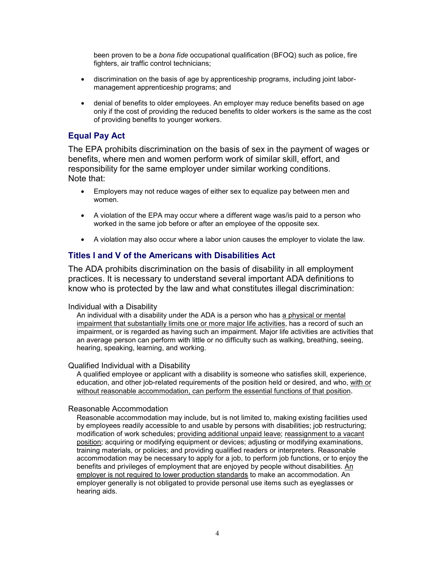been proven to be a *bona fide* occupational qualification (BFOQ) such as police, fire fighters, air traffic control technicians;

- discrimination on the basis of age by apprenticeship programs, including joint labormanagement apprenticeship programs; and
- denial of benefits to older employees. An employer may reduce benefits based on age only if the cost of providing the reduced benefits to older workers is the same as the cost of providing benefits to younger workers.

## **Equal Pay Act**

The EPA prohibits discrimination on the basis of sex in the payment of wages or benefits, where men and women perform work of similar skill, effort, and responsibility for the same employer under similar working conditions. Note that:

- Employers may not reduce wages of either sex to equalize pay between men and women.
- A violation of the EPA may occur where a different wage was/is paid to a person who worked in the same job before or after an employee of the opposite sex.
- A violation may also occur where a labor union causes the employer to violate the law.

### **Titles I and V of the Americans with Disabilities Act**

The ADA prohibits discrimination on the basis of disability in all employment practices. It is necessary to understand several important ADA definitions to know who is protected by the law and what constitutes illegal discrimination:

#### Individual with a Disability

An individual with a disability under the ADA is a person who has a physical or mental impairment that substantially limits one or more major life activities, has a record of such an impairment, or is regarded as having such an impairment. Major life activities are activities that an average person can perform with little or no difficulty such as walking, breathing, seeing, hearing, speaking, learning, and working.

#### Qualified Individual with a Disability

A qualified employee or applicant with a disability is someone who satisfies skill, experience, education, and other job-related requirements of the position held or desired, and who, with or without reasonable accommodation, can perform the essential functions of that position.

#### Reasonable Accommodation

Reasonable accommodation may include, but is not limited to, making existing facilities used by employees readily accessible to and usable by persons with disabilities; job restructuring; modification of work schedules; providing additional unpaid leave; reassignment to a vacant position; acquiring or modifying equipment or devices; adjusting or modifying examinations, training materials, or policies; and providing qualified readers or interpreters. Reasonable accommodation may be necessary to apply for a job, to perform job functions, or to enjoy the benefits and privileges of employment that are enjoyed by people without disabilities. An employer is not required to lower production standards to make an accommodation. An employer generally is not obligated to provide personal use items such as eyeglasses or hearing aids.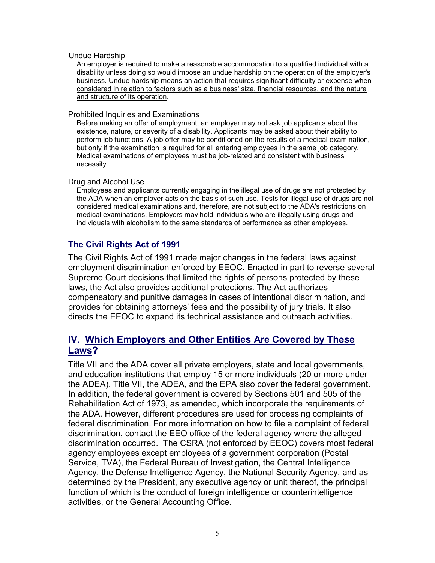Undue Hardship

An employer is required to make a reasonable accommodation to a qualified individual with a disability unless doing so would impose an undue hardship on the operation of the employer's business. Undue hardship means an action that requires significant difficulty or expense when considered in relation to factors such as a business' size, financial resources, and the nature and structure of its operation.

Prohibited Inquiries and Examinations

Before making an offer of employment, an employer may not ask job applicants about the existence, nature, or severity of a disability. Applicants may be asked about their ability to perform job functions. A job offer may be conditioned on the results of a medical examination, but only if the examination is required for all entering employees in the same job category. Medical examinations of employees must be job-related and consistent with business necessity.

## Drug and Alcohol Use

Employees and applicants currently engaging in the illegal use of drugs are not protected by the ADA when an employer acts on the basis of such use. Tests for illegal use of drugs are not considered medical examinations and, therefore, are not subject to the ADA's restrictions on medical examinations. Employers may hold individuals who are illegally using drugs and individuals with alcoholism to the same standards of performance as other employees.

# **The Civil Rights Act of 1991**

The Civil Rights Act of 1991 made major changes in the federal laws against employment discrimination enforced by EEOC. Enacted in part to reverse several Supreme Court decisions that limited the rights of persons protected by these laws, the Act also provides additional protections. The Act authorizes compensatory and punitive damages in cases of intentional discrimination, and provides for obtaining attorneys' fees and the possibility of jury trials. It also directs the EEOC to expand its technical assistance and outreach activities.

# **IV. Which Employers and Other Entities Are Covered by These Laws?**

Title VII and the ADA cover all private employers, state and local governments, and education institutions that employ 15 or more individuals (20 or more under the ADEA). Title VII, the ADEA, and the EPA also cover the federal government. In addition, the federal government is covered by Sections 501 and 505 of the Rehabilitation Act of 1973, as amended, which incorporate the requirements of the ADA. However, different procedures are used for processing complaints of federal discrimination. For more information on how to file a complaint of federal discrimination, contact the EEO office of the federal agency where the alleged discrimination occurred. The CSRA (not enforced by EEOC) covers most federal agency employees except employees of a government corporation (Postal Service, TVA), the Federal Bureau of Investigation, the Central Intelligence Agency, the Defense Intelligence Agency, the National Security Agency, and as determined by the President, any executive agency or unit thereof, the principal function of which is the conduct of foreign intelligence or counterintelligence activities, or the General Accounting Office.